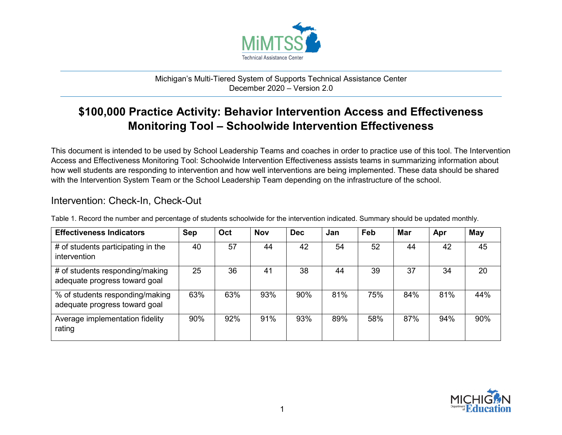

## Michigan's Multi-Tiered System of Supports Technical Assistance Center December 2020 – Version 2.0

## **\$100,000 Practice Activity: Behavior Intervention Access and Effectiveness Monitoring Tool – Schoolwide Intervention Effectiveness**

This document is intended to be used by School Leadership Teams and coaches in order to practice use of this tool. The Intervention Access and Effectiveness Monitoring Tool: Schoolwide Intervention Effectiveness assists teams in summarizing information about how well students are responding to intervention and how well interventions are being implemented. These data should be shared with the Intervention System Team or the School Leadership Team depending on the infrastructure of the school.

## Intervention: Check-In, Check-Out

| <b>Effectiveness Indicators</b>                                  | Sep | Oct | <b>Nov</b> | <b>Dec</b> | Jan | Feb | <b>Mar</b> | Apr | May |
|------------------------------------------------------------------|-----|-----|------------|------------|-----|-----|------------|-----|-----|
| # of students participating in the<br>intervention               | 40  | 57  | 44         | 42         | 54  | 52  | 44         | 42  | 45  |
| # of students responding/making<br>adequate progress toward goal | 25  | 36  | 41         | 38         | 44  | 39  | 37         | 34  | 20  |
| % of students responding/making<br>adequate progress toward goal | 63% | 63% | 93%        | 90%        | 81% | 75% | 84%        | 81% | 44% |
| Average implementation fidelity<br>rating                        | 90% | 92% | 91%        | 93%        | 89% | 58% | 87%        | 94% | 90% |

Table 1. Record the number and percentage of students schoolwide for the intervention indicated. Summary should be updated monthly.